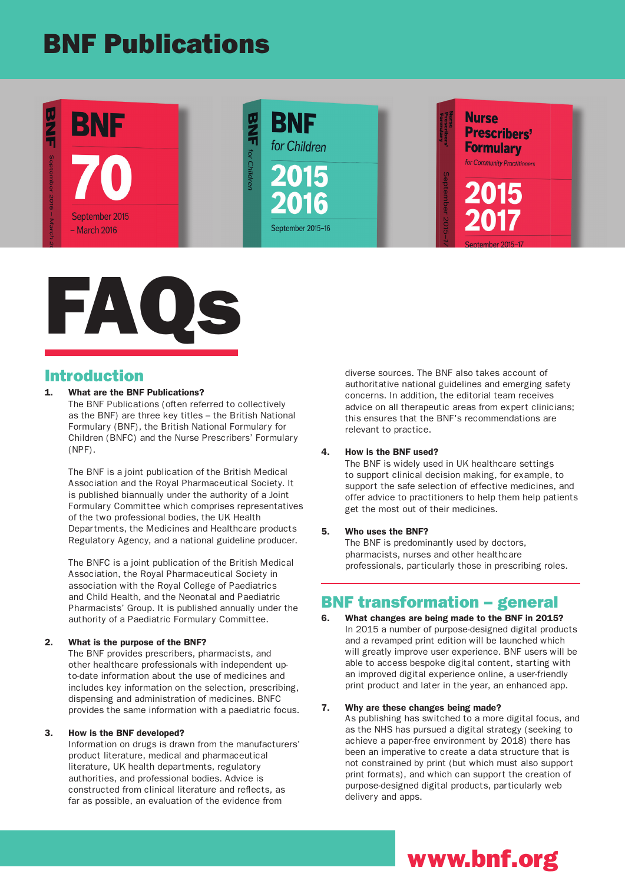# BNF Publications





## Introduction

## What are the BNF Publications?

The BNF Publications (often referred to collectively as the BNF) are three key titles – the British National Formulary (BNF), the British National Formulary for Children (BNFC) and the Nurse Prescribers' Formulary (NPF).

The BNF is a joint publication of the British Medical Association and the Royal Pharmaceutical Society. It is published biannually under the authority of a Joint Formulary Committee which comprises representatives of the two professional bodies, the UK Health Departments, the Medicines and Healthcare products Regulatory Agency, and a national guideline producer.

The BNFC is a joint publication of the British Medical Association, the Royal Pharmaceutical Society in association with the Royal College of Paediatrics and Child Health, and the Neonatal and Paediatric Pharmacists' Group. It is published annually under the authority of a Paediatric Formulary Committee.

## 2. What is the purpose of the BNF?

The BNF provides prescribers, pharmacists, and other healthcare professionals with independent upto-date information about the use of medicines and includes key information on the selection, prescribing, dispensing and administration of medicines. BNFC provides the same information with a paediatric focus.

## 3. How is the BNF developed?

Information on drugs is drawn from the manufacturers' product literature, medical and pharmaceutical literature, UK health departments, regulatory authorities, and professional bodies. Advice is constructed from clinical literature and reflects, as far as possible, an evaluation of the evidence from

diverse sources. The BNF also takes account of authoritative national guidelines and emerging safety concerns. In addition, the editorial team receives advice on all therapeutic areas from expert clinicians; this ensures that the BNF's recommendations are relevant to practice.

## 4. How is the BNF used?

The BNF is widely used in UK healthcare settings to support clinical decision making, for example, to support the safe selection of effective medicines, and offer advice to practitioners to help them help patients get the most out of their medicines.

## 5. Who uses the BNF?

The BNF is predominantly used by doctors, pharmacists, nurses and other healthcare professionals, particularly those in prescribing roles.

## BNF transformation – general

6. What changes are being made to the BNF in 2015? In 2015 a number of purpose-designed digital products and a revamped print edition will be launched which will greatly improve user experience. BNF users will be able to access bespoke digital content, starting with an improved digital experience online, a user-friendly print product and later in the year, an enhanced app.

## 7. Why are these changes being made?

As publishing has switched to a more digital focus, and as the NHS has pursued a digital strategy (seeking to achieve a paper-free environment by 2018) there has been an imperative to create a data structure that is not constrained by print (but which must also support print formats), and which can support the creation of purpose-designed digital products, particularly web delivery and apps.

# www.bnf.org